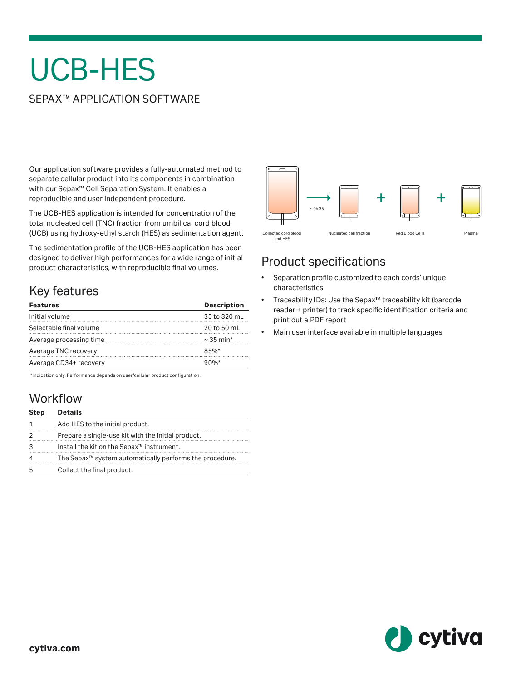# UCB-HES

#### SEPAX™ APPLICATION SOFTWARE

Our application software provides a fully-automated method to separate cellular product into its components in combination with our Sepax™ Cell Separation System. It enables a reproducible and user independent procedure.

The UCB-HES application is intended for concentration of the total nucleated cell (TNC) fraction from umbilical cord blood (UCB) using hydroxy-ethyl starch (HES) as sedimentation agent.

The sedimentation profile of the UCB-HES application has been designed to deliver high performances for a wide range of initial product characteristics, with reproducible final volumes.

# Key features

| <b>Features</b>         | <b>Description</b> |
|-------------------------|--------------------|
| Initial volume          | 35 to 320 mL       |
| Selectable final volume | 20 to 50 mL        |
| Average processing time | $\sim$ 35 min*     |
| Average TNC recovery    | 85%                |
| Average CD34+ recovery  | $90%$ *            |

\*Indication only. Performance depends on user/cellular product configuration.

### **Workflow**

| <b>Step</b> | <b>Details</b>                                                      |
|-------------|---------------------------------------------------------------------|
|             | Add HES to the initial product.                                     |
|             | Prepare a single-use kit with the initial product.                  |
| 3           | Install the kit on the Sepax <sup>™</sup> instrument.               |
| 4           | The Sepax <sup>™</sup> system automatically performs the procedure. |
| 5           | Collect the final product.                                          |



## Product specifications

- Separation profile customized to each cords' unique characteristics
- Traceability IDs: Use the Sepax™ traceability kit (barcode reader + printer) to track specific identification criteria and print out a PDF report
- Main user interface available in multiple languages